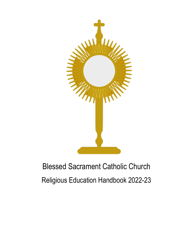

# Blessed Sacrament Catholic Church Religious Education Handbook 2022-23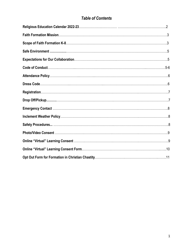## *Table of Contents*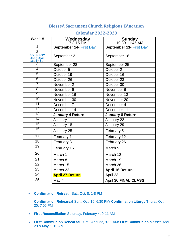## **Blessed Sacrament Church Religious Education**

| Week #                                                                                         | Wednesday<br>7-8:15 PM  | <b>Sunday<br/>10:30-11:45 AM</b> |
|------------------------------------------------------------------------------------------------|-------------------------|----------------------------------|
| 1                                                                                              | September 14- First Day | September 11- First Day          |
| $\overline{2}$<br>SAFE ENV<br>LESSONS:<br>$\frac{1 \text{st}, 5^{\text{th}} - 8 \text{th}}{3}$ | September 21            | September 18                     |
|                                                                                                | September 28            | September 25                     |
| 4                                                                                              | October 5               | October 2                        |
| 5                                                                                              | October 19              | October 16                       |
| 6                                                                                              | October 26              | October 23                       |
| 7                                                                                              | November 2              | October 30                       |
| $\overline{8}$                                                                                 | November 9              | November 6                       |
| $\overline{9}$                                                                                 | November 16             | November 13                      |
| 10                                                                                             | November 30             | November 20                      |
| 11                                                                                             | December 7              | December 4                       |
| 12                                                                                             | December 14             | December 11                      |
| 13                                                                                             | <b>January 4 Return</b> | <b>January 8 Return</b>          |
| 14                                                                                             | January 11              | January 22                       |
| 15                                                                                             | January 18              | January 29                       |
| 16                                                                                             | January 25              | February 5                       |
| 17                                                                                             | February 1              | February 12                      |
| $\overline{18}$                                                                                | February 8              | February 26                      |
| 19                                                                                             | February 15             | March <sub>5</sub>               |
| 20                                                                                             | March 1                 | March 12                         |
| $\overline{21}$                                                                                | March 8                 | March 19                         |
| $\overline{22}$                                                                                | March 15                | March 26                         |
| 23                                                                                             | March 22                | <b>April 16 Return</b>           |
| 24                                                                                             | <b>April 27 Return</b>  | April 23                         |
| 25                                                                                             | May 4                   | <b>April 30 FINAL CLASS</b>      |

#### **Calendar 2022-2023**

**Confirmation Retreat:** Sat., Oct. 8, 1-8 PM

**Confirmation Rehearsal** Sun., Oct. 16, 6:30 PM/ **Confirmation Liturgy** Thurs., Oct. 20, 7:00 PM

- **First Reconciliation** Saturday, February 4, 9-11 AM
- **First Communion Rehearsal** Sat., April 22, 9-11 AM/ **First Communion** Masses April 29 & May 6, 10 AM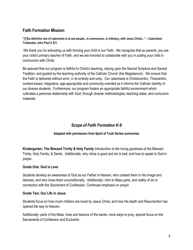## **Faith Formation Mission**

**"[T]he definitive aim of catechesis is to put people...in communion, in intimacy, with Jesus Christ..." – Catechesis Tradendae, John Paul II, ¶ 5**

We thank you for entrusting us with forming your child in our Faith. We recognize that as parents, you are your child's primary teacher of Faith, and we are honored to collaborate with you in putting your child in communion with Christ.

Be assured that our program is faithful to Christ's teaching, relying upon the Sacred Scripture and Sacred Tradition, and guided by the teaching authority of the Catholic Church (the Magisterium). We ensure that the Faith is delivered without error, in its entirety and unity. Our catechesis is Christocentric, Theocentric, content-based, integrative, age-appropriate and community-oriented as it informs the Catholic identity of our diverse students. Furthermore, our program fosters an appropriate faithful environment which cultivates a personal relationship with God, through diverse methodologies, teaching aides, and curriculum materials.

## *Scope of Faith Formation K-8*

#### **Adapted with permission from Spirit of Truth Series summaries**

**Kindergarten: The Blessed Trinity & Holy Family** Introduction to the loving goodness of the Blessed Trinity, Holy Family, & Saints. Additionally, why virtue is good and sin is bad, and how to speak to God in prayer.

#### **Grade One: God is Love**

Students develop an awareness of God as our Father in Heaven, who created them in His image and likeness, and who loves them unconditionally. Additionally: intro to Mass parts, and reality of sin in connection with the Sacrament of Confession. Continued emphasis on prayer.

#### **Grade Two: Our Life in Jesus**

Students focus on how much children are loved by Jesus Christ, and how His death and Resurrection has opened the way to Heaven.

Additionally: parts of the Mass, lives and lessons of the saints, more ways to pray, special focus on the Sacraments of Confession and Eucharist.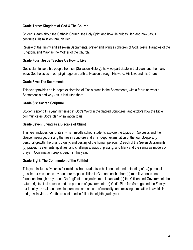#### **Grade Three: Kingdom of God & The Church**

Students learn about the Catholic Church, the Holy Spirit and how He guides Her, and how Jesus continues His mission through Her.

Review of the Trinity and all seven Sacraments, prayer and living as children of God, Jesus' Parables of the Kingdom, and Mary as the Mother of the Church.

#### **Grade Four: Jesus Teaches Us How to Live**

God's plan to save his people from sin (Salvation History), how we participate in that plan, and the many ways God helps us in our pilgrimage on earth to Heaven through His word, His law, and his Church.

#### **Grade Five: The Sacraments**

This year provides an in-depth exploration of God's grace in the Sacraments, with a focus on what a Sacrament is and why Jesus instituted them.

#### **Grade Six: Sacred Scripture**

Students spend this year immersed in God's Word in the Sacred Scriptures, and explore how the Bible communicates God's plan of salvation to us.

#### **Grade Seven: Living as a Disciple of Christ**

This year includes four units in which middle school students explore the topics of: (a) Jesus and the Gospel message: unifying themes in Scripture and an in-depth examination of the four Gospels; (b) personal growth: the origin, dignity, and destiny of the human person; (c) each of the Seven Sacraments; (d) prayer: its elements, qualities, and challenges, ways of praying, and Mary and the saints as models of prayer. Confirmation prep is begun in this year.

#### **Grade Eight: The Communion of the Faithful**

This year includes five units for middle school students to build on their understanding of: (a) personal growth: our vocation to love and our responsibilities to God and each other; (b) morality: conscience formation through prayer and God's gift of an objective moral standard; (c) the Citizen and Government: the natural rights of all persons and the purpose of government; (d) God's Plan for Marriage and the Family: our identity as male and female, purposes and abuses of sexuality, and resisting temptation to avoid sin and grow in virtue. Youth are confirmed in fall of the eighth grade year.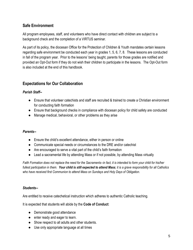## **Safe Environment**

All program employees, staff, and volunteers who have direct contact with children are subject to a background check and the completion of a VIRTUS seminar.

As part of its policy, the diocesan Office for the Protection of Children & Youth mandates certain lessons regarding safe environment be conducted each year in grades 1, 5, 6, 7, 8. These lessons are conducted in fall of the program year. Prior to the lessons' being taught, parents for those grades are notified and provided an Opt-Out form if they do not wish their children to participate in the lessons. The Opt-Out form is also included at the end of this handbook.

## **Expectations for Our Collaboration**

#### *Parish Staff--*

- Ensure that volunteer catechists and staff are recruited & trained to create a Christian environment for conducting faith formation
- Ensure that background checks in compliance with diocesan policy for child safety are conducted
- Manage medical, behavioral, or other problems as they arise

#### *Parents--*

- Ensure the child's excellent attendance, either in person or online
- Communicate special needs or circumstances to the DRE and/or catechist
- Are encouraged to serve a vital part of the child's faith formation
- Lead a sacramental life by attending Mass or if not possible, by attending Mass virtually

*Faith Formation does not replace the need for the Sacraments--in fact, it is intended to form your child for his/her fullest participation in them. Your child is still expected to attend Mass; it is a grave responsibility for all Catholics who have received first Communion to attend Mass on Sundays and Holy Days of Obligation.* 

#### *Students--*

Are entitled to receive catechetical instruction which adheres to authentic Catholic teaching.

It is expected that students will abide by the **Code of Conduct**:

- Demonstrate good attendance
- enter ready and eager to learn.
- Show respect to all adults and other students.
- Use only appropriate language at all times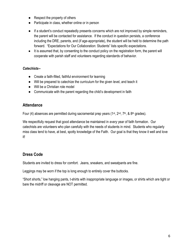- Respect the property of others
- Participate in class, whether online or in person
- If a student's conduct repeatedly presents concerns which are not improved by simple reminders, the parent will be contacted for assistance. If the conduct in question persists, a conference including the DRE, parents, and (if age-appropriate), the student will be held to determine the path forward. "Expectations for Our Collaboration: Students" lists specific expectations.
- It is assumed that, by consenting to the conduct policy on the registration form, the parent will cooperate with parish staff and volunteers regarding standards of behavior.

#### *Catechists--*

- Create a faith-filled, faithful environment for learning
- Will be prepared to catechize the curriculum for the given level, and teach it
- Will be a Christian role model
- Communicate with the parent regarding the child's development in faith

## **Attendance**

Four (4) absences are permitted during sacramental prep years (1<sup>st</sup>, 2<sup>nd</sup>, 7<sup>th</sup>, & 8<sup>th</sup> grades).

We respectfully request that good attendance be maintained in *every* year of faith formation. Our catechists are volunteers who plan carefully with the needs of students in mind. Students who regularly miss class tend to have, at best, spotty knowledge of the Faith. Our goal is that they know it well and love it!

## **Dress Code**

Students are invited to dress for comfort. Jeans, sneakers, and sweatpants are fine.

Leggings may be worn if the top is long enough to entirely cover the buttocks.

"Short shorts," low hanging pants, t-shirts with inappropriate language or images, or shirts which are tight or bare the midriff or cleavage are NOT permitted.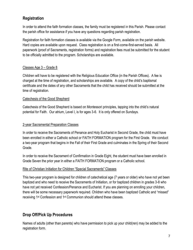## **Registration**

In order to attend the faith formation classes, the family must be registered in this Parish. Please contact the parish office for assistance if you have any questions regarding parish registration.

Registration for faith formation classes is available via the Google Form, available on the parish website. Hard copies are available upon request. Class registration is on a first-come-first-served basis. All paperwork (proof of Sacraments, registration forms) and registration fees must be submitted for the student to be officially admitted to the program. Scholarships are available.

#### Classes Age 3 – Grade 8

Children will have to be registered with the Religious Education Office (in the Parish Offices). A fee is charged at the time of registration, and scholarships are available. A copy of the child's baptismal certificate and the dates of any other Sacraments that the child has received should be submitted at the time of registration.

#### Catechesis of the Good Shepherd

Catechesis of the Good Shepherd is based on Montessori principles, tapping into the child's natural potential for Faith. Our atrium, Level I, is for ages 3-6. It is only offered on Sundays.

#### 2-year Sacramental Preparation Classes

In order to receive the Sacraments of Penance and Holy Eucharist in Second Grade, the child must have been enrolled in either a Catholic school or FAITH FORMATION program for the First Grade. We conduct a two-year program that begins in the Fall of their First Grade and culminates in the Spring of their Second Grade.

In order to receive the Sacrament of Confirmation in Grade Eight, the student must have been enrolled in Grade Seven the prior year in either a FAITH FORMATION program or a Catholic school.

#### Rite of Christian Initiation for Children "Special Sacraments" Classes

This two-year program is designed for children of catechetical age (7 years or older) who have not yet been baptized and who need to receive the Sacraments of Initiation, or for baptized children in grades 3-8 who have not yet received Confession/Penance and Eucharist. If you are planning on enrolling your children, there will be some necessary paperwork required. Children who have been baptized Catholic and "missed" receiving 1st Confession and 1st Communion should attend these classes.

## **Drop Off/Pick Up Procedures**

Names of adults (other than parents) who have permission to pick up your child(ren) may be added to the registration form.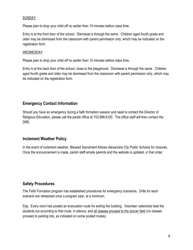#### SUNDAY

Please plan to drop your child off no earlier than 10 minutes before class time.

Entry is at the front door of the school. Dismissal is through the same. Children aged fourth grade and older may be dismissed from the classroom with parent permission only, which may be indicated on the registration form.

#### WEDNESDAY

Please plan to drop your child off no earlier than 10 minutes before class time.

Entry is at the back door of the school, close to the playground. Dismissal is through the same. Children aged fourth grade and older may be dismissed from the classroom with parent permission only, which may be indicated on the registration form.

## **Emergency Contact Information**

Should you have an emergency during a faith formation session and need to contact the Director of Religious Education, please call the parish office at 703.998.6100. The office staff will then contact the DRE.

#### **Inclement Weather Policy**

In the event of inclement weather, Blessed Sacrament follows Alexandria City Public Schools for closures. Once the announcement is made, parish staff emails parents and the website is updated, in that order.

## **Safety Procedures**

The Faith Formation program has established procedures for emergency scenarios. Drills for each scenario are rehearsed once a program year, at a minimum.

Fire: Every room has posted an evacuation route for exiting the building. Volunteer catechists lead the students out according to that route, in silence, and all classes proceed to the soccer field (no classes proceed to parking lots, as indicated on some posted routes).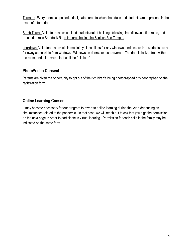Tornado: Every room has posted a designated area to which the adults and students are to proceed in the event of a tornado.

Bomb Threat: Volunteer catechists lead students out of building, following fire drill evacuation route, and proceed across Braddock Rd to the area behind the Scottish Rite Temple.

Lockdown: Volunteer catechists immediately close blinds for any windows, and ensure that students are as far away as possible from windows. Windows on doors are also covered. The door is locked from within the room, and all remain silent until the "all clear."

## **Photo/Video Consent**

Parents are given the opportunity to opt out of their children's being photographed or videographed on the registration form.

## **Online Learning Consent**

It may become necessary for our program to revert to online learning during the year, depending on circumstances related to the pandemic. In that case, we will reach out to ask that you sign the permission on the next page in order to participate in virtual learning. Permission for each child in the family may be indicated on the same form.